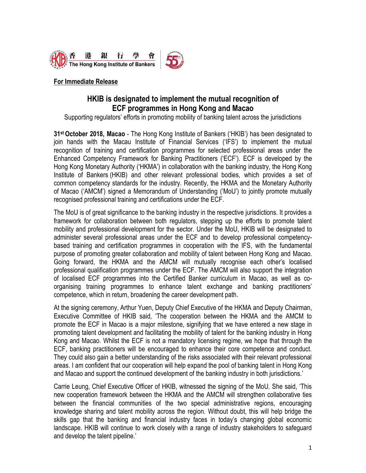

# **For Immediate Release**

# **HKIB is designated to implement the mutual recognition of ECF programmes in Hong Kong and Macao**

Supporting regulators' efforts in promoting mobility of banking talent across the jurisdictions

**31 st October 2018, Macao** - The Hong Kong Institute of Bankers ('HKIB') has been designated to join hands with the Macau Institute of Financial Services ('IFS') to implement the mutual recognition of training and certification programmes for selected professional areas under the Enhanced Competency Framework for Banking Practitioners ('ECF'). ECF is developed by the Hong Kong Monetary Authority ('HKMA') in collaboration with the banking industry, the Hong Kong Institute of Bankers (HKIB) and other relevant professional bodies, which provides a set of common competency standards for the industry. Recently, the HKMA and the Monetary Authority of Macao ('AMCM') signed a Memorandum of Understanding ('MoU') to jointly promote mutually recognised professional training and certifications under the ECF.

The MoU is of great significance to the banking industry in the respective jurisdictions. It provides a framework for collaboration between both regulators, stepping up the efforts to promote talent mobility and professional development for the sector. Under the MoU, HKIB will be designated to administer several professional areas under the ECF and to develop professional competencybased training and certification programmes in cooperation with the IFS, with the fundamental purpose of promoting greater collaboration and mobility of talent between Hong Kong and Macao. Going forward, the HKMA and the AMCM will mutually recognise each other's localised professional qualification programmes under the ECF. The AMCM will also support the integration of localised ECF programmes into the Certified Banker curriculum in Macao, as well as coorganising training programmes to enhance talent exchange and banking practitioners' competence, which in return, broadening the career development path.

At the signing ceremony, Arthur Yuen, Deputy Chief Executive of the HKMA and Deputy Chairman, Executive Committee of HKIB said, 'The cooperation between the HKMA and the AMCM to promote the ECF in Macao is a major milestone, signifying that we have entered a new stage in promoting talent development and facilitating the mobility of talent for the banking industry in Hong Kong and Macao. Whilst the ECF is not a mandatory licensing regime, we hope that through the ECF, banking practitioners will be encouraged to enhance their core competence and conduct. They could also gain a better understanding of the risks associated with their relevant professional areas. I am confident that our cooperation will help expand the pool of banking talent in Hong Kong and Macao and support the continued development of the banking industry in both jurisdictions.'

Carrie Leung, Chief Executive Officer of HKIB, witnessed the signing of the MoU. She said, 'This new cooperation framework between the HKMA and the AMCM will strengthen collaborative ties between the financial communities of the two special administrative regions, encouraging knowledge sharing and talent mobility across the region. Without doubt, this will help bridge the skills gap that the banking and financial industry faces in today's changing global economic landscape. HKIB will continue to work closely with a range of industry stakeholders to safeguard and develop the talent pipeline.'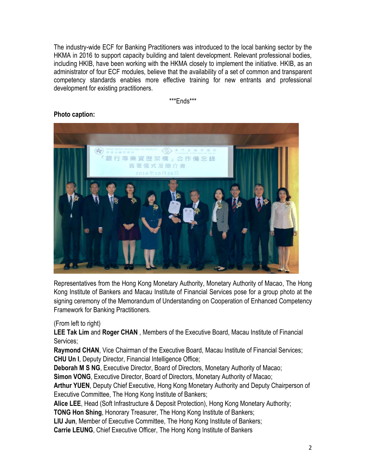The industry-wide ECF for Banking Practitioners was introduced to the local banking sector by the HKMA in 2016 to support capacity building and talent development. Relevant professional bodies, including HKIB, have been working with the HKMA closely to implement the initiative. HKIB, as an administrator of four ECF modules, believe that the availability of a set of common and transparent competency standards enables more effective training for new entrants and professional development for existing practitioners.

\*\*\*Ends\*\*\*



#### **Photo caption:**

Representatives from the Hong Kong Monetary Authority, Monetary Authority of Macao, The Hong Kong Institute of Bankers and Macau Institute of Financial Services pose for a group photo at the signing ceremony of the Memorandum of Understanding on Cooperation of Enhanced Competency Framework for Banking Practitioners.

# (From left to right)

**LEE Tak Lim** and **Roger CHAN** , Members of the Executive Board, Macau Institute of Financial Services;

**Raymond CHAN**, Vice Chairman of the Executive Board, Macau Institute of Financial Services; **CHU Un I**, Deputy Director, Financial Intelligence Office;

**Deborah M S NG**, Executive Director, Board of Directors, Monetary Authority of Macao;

**Simon VONG**, Executive Director, Board of Directors, Monetary Authority of Macao;

**Arthur YUEN**, Deputy Chief Executive, Hong Kong Monetary Authority and Deputy Chairperson of Executive Committee, The Hong Kong Institute of Bankers;

**Alice LEE**, Head (Soft Infrastructure & Deposit Protection), Hong Kong Monetary Authority;

**TONG Hon Shing**, Honorary Treasurer, The Hong Kong Institute of Bankers;

**LIU Jun**, Member of Executive Committee, The Hong Kong Institute of Bankers;

**Carrie LEUNG**, Chief Executive Officer, The Hong Kong Institute of Bankers